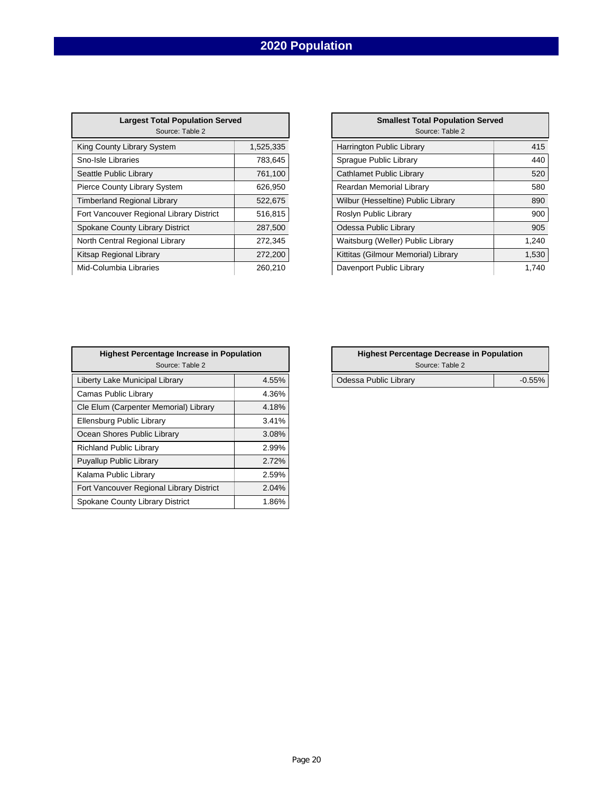# **2020 Population**

| <b>Largest Total Population Served</b><br>Source: Table 2 |           |  |  |  |
|-----------------------------------------------------------|-----------|--|--|--|
| King County Library System                                | 1,525,335 |  |  |  |
| Sno-Isle Libraries                                        | 783,645   |  |  |  |
| Seattle Public Library                                    | 761,100   |  |  |  |
| <b>Pierce County Library System</b>                       | 626,950   |  |  |  |
| <b>Timberland Regional Library</b>                        | 522,675   |  |  |  |
| Fort Vancouver Regional Library District                  | 516,815   |  |  |  |
| Spokane County Library District                           | 287,500   |  |  |  |
| North Central Regional Library                            | 272,345   |  |  |  |
| Kitsap Regional Library                                   | 272,200   |  |  |  |
| Mid-Columbia Libraries                                    | 260,210   |  |  |  |

| <b>Largest Total Population Served</b><br>Source: Table 2 |           | <b>Smallest Total Population Served</b><br>Source: Table 2 |       |
|-----------------------------------------------------------|-----------|------------------------------------------------------------|-------|
| Library System                                            | 1,525,335 | Harrington Public Library                                  | 415   |
| raries                                                    | 783,645   | Sprague Public Library                                     | 440   |
| ic Library                                                | 761,100   | Cathlamet Public Library                                   | 520   |
| ity Library System                                        | 626,950   | Reardan Memorial Library                                   | 580   |
| Regional Library                                          | 522,675   | Wilbur (Hesseltine) Public Library                         | 890   |
| iver Regional Library District                            | 516,815   | Roslyn Public Library                                      | 900   |
| unty Library District                                     | 287,500   | Odessa Public Library                                      | 905   |
| al Regional Library                                       | 272,345   | Waitsburg (Weller) Public Library                          | 1,240 |
| onal Library                                              | 272,200   | Kittitas (Gilmour Memorial) Library                        | 1,530 |
| ia Libraries                                              | 260.210   | Davenport Public Library                                   | 1,740 |

| <b>Highest Percentage Increase in Population</b><br>Source: Table 2 |       | <b>Highest Percentage Decrease in Population</b><br>Source: Table 2 |  |
|---------------------------------------------------------------------|-------|---------------------------------------------------------------------|--|
| Liberty Lake Municipal Library                                      | 4.55% | Odessa Public Library                                               |  |
| Camas Public Library                                                | 4.36% |                                                                     |  |
| Cle Elum (Carpenter Memorial) Library                               | 4.18% |                                                                     |  |
| Ellensburg Public Library                                           | 3.41% |                                                                     |  |
| Ocean Shores Public Library                                         | 3.08% |                                                                     |  |
| <b>Richland Public Library</b>                                      | 2.99% |                                                                     |  |
| <b>Puyallup Public Library</b>                                      | 2.72% |                                                                     |  |
| Kalama Public Library                                               | 2.59% |                                                                     |  |
| Fort Vancouver Regional Library District                            | 2.04% |                                                                     |  |
| Spokane County Library District                                     | 1.86% |                                                                     |  |

| <b>Highest Percentage Decrease in Population</b> |           |  |  |
|--------------------------------------------------|-----------|--|--|
| Source: Table 2                                  |           |  |  |
| Odessa Public Library                            | $-0.55\%$ |  |  |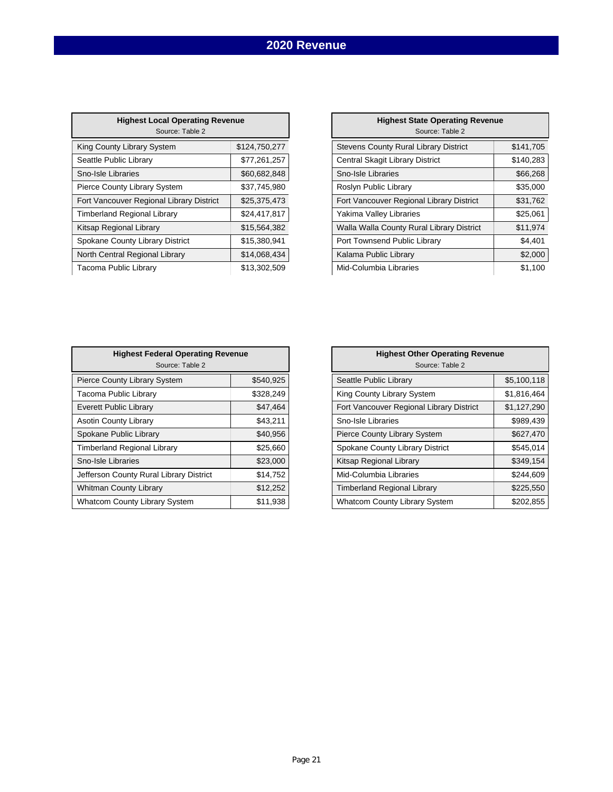### **2020 Revenue**

| <b>Highest Local Operating Revenue</b><br>Source: Table 2 |               |  |  |  |
|-----------------------------------------------------------|---------------|--|--|--|
| <b>King County Library System</b>                         | \$124,750,277 |  |  |  |
| Seattle Public Library                                    | \$77,261,257  |  |  |  |
| Sno-Isle Libraries                                        | \$60,682,848  |  |  |  |
| <b>Pierce County Library System</b>                       | \$37,745,980  |  |  |  |
| Fort Vancouver Regional Library District                  | \$25,375,473  |  |  |  |
| <b>Timberland Regional Library</b>                        | \$24,417,817  |  |  |  |
| Kitsap Regional Library                                   | \$15,564,382  |  |  |  |
| Spokane County Library District                           | \$15,380,941  |  |  |  |
| North Central Regional Library                            | \$14,068,434  |  |  |  |
| Tacoma Public Library                                     | \$13.302.509  |  |  |  |

| <b>Highest Local Operating Revenue</b><br>Source: Table 2 |               | <b>Highest State Operating Revenue</b><br>Source: Table 2 |           |
|-----------------------------------------------------------|---------------|-----------------------------------------------------------|-----------|
| y Library System                                          | \$124,750,277 | <b>Stevens County Rural Library District</b>              | \$141,705 |
| lic Library                                               | \$77,261,257  | Central Skagit Library District                           | \$140,283 |
| oraries                                                   | \$60,682,848  | Sno-Isle Libraries                                        | \$66,268  |
| nty Library System                                        | \$37,745,980  | Roslyn Public Library                                     | \$35,000  |
| uver Regional Library District                            | \$25,375,473  | Fort Vancouver Regional Library District                  | \$31,762  |
| <b>Regional Library</b>                                   | \$24,417,817  | Yakima Valley Libraries                                   | \$25,061  |
| onal Library                                              | \$15,564,382  | Walla Walla County Rural Library District                 | \$11,974  |
| ounty Library District                                    | \$15,380,941  | Port Townsend Public Library                              | \$4,401   |
| al Regional Library                                       | \$14,068,434  | Kalama Public Library                                     | \$2,000   |
| blic Library                                              | \$13,302,509  | Mid-Columbia Libraries                                    | \$1,100   |

| <b>Highest Federal Operating Revenue</b><br>Source: Table 2 |           | <b>Highest Other Operating Revenue</b><br>Source: Table 2 |
|-------------------------------------------------------------|-----------|-----------------------------------------------------------|
| Pierce County Library System                                | \$540,925 | Seattle Public Library                                    |
| Tacoma Public Library                                       | \$328,249 | King County Library System                                |
| Everett Public Library                                      | \$47,464  | Fort Vancouver Regional Library District                  |
| <b>Asotin County Library</b>                                | \$43,211  | Sno-Isle Libraries                                        |
| Spokane Public Library                                      | \$40,956  | Pierce County Library System                              |
| <b>Timberland Regional Library</b>                          | \$25,660  | Spokane County Library District                           |
| Sno-Isle Libraries                                          | \$23,000  | Kitsap Regional Library                                   |
| Jefferson County Rural Library District                     | \$14,752  | Mid-Columbia Libraries                                    |
| Whitman County Library                                      | \$12,252  | <b>Timberland Regional Library</b>                        |
| <b>Whatcom County Library System</b>                        | \$11,938  | <b>Whatcom County Library System</b>                      |

| <b>Highest Other Operating Revenue</b><br>Source: Table 2 |             |  |  |  |
|-----------------------------------------------------------|-------------|--|--|--|
| Seattle Public Library                                    | \$5,100,118 |  |  |  |
| King County Library System                                | \$1,816,464 |  |  |  |
| Fort Vancouver Regional Library District                  | \$1,127,290 |  |  |  |
| Sno-Isle Libraries                                        | \$989,439   |  |  |  |
| <b>Pierce County Library System</b>                       | \$627,470   |  |  |  |
| Spokane County Library District                           | \$545,014   |  |  |  |
| Kitsap Regional Library                                   | \$349,154   |  |  |  |
| Mid-Columbia Libraries                                    | \$244,609   |  |  |  |
| Timberland Regional Library                               | \$225,550   |  |  |  |
| <b>Whatcom County Library System</b>                      | \$202,855   |  |  |  |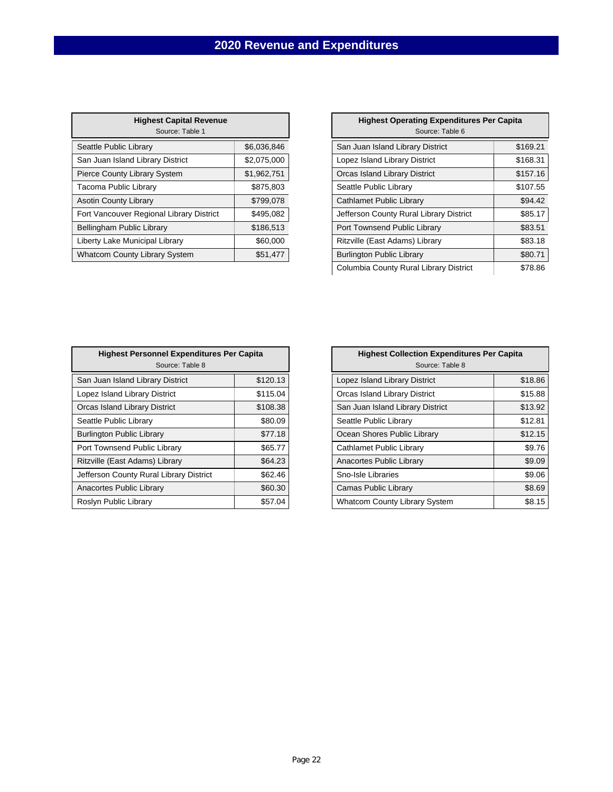| <b>Highest Capital Revenue</b><br>Source: Table 1 |             |
|---------------------------------------------------|-------------|
| Seattle Public Library                            | \$6,036,846 |
| San Juan Island Library District                  | \$2,075,000 |
| <b>Pierce County Library System</b>               | \$1,962,751 |
| Tacoma Public Library                             | \$875,803   |
| <b>Asotin County Library</b>                      | \$799,078   |
| Fort Vancouver Regional Library District          | \$495,082   |
| Bellingham Public Library                         | \$186,513   |
| Liberty Lake Municipal Library                    | \$60,000    |
| <b>Whatcom County Library System</b>              | \$51,477    |

| <b>Highest Capital Revenue</b><br>Source: Table 1 |             | Source: Table 6                         | <b>Highest Operating Expenditures Per Capita</b> |  |
|---------------------------------------------------|-------------|-----------------------------------------|--------------------------------------------------|--|
| brary                                             | \$6,036,846 | San Juan Island Library District        | \$169.21                                         |  |
| <b>Library District</b>                           | \$2,075,000 | Lopez Island Library District           | \$168.31                                         |  |
| ibrary System                                     | \$1,962,751 | Orcas Island Library District           | \$157.16                                         |  |
| Library                                           | \$875,803   | Seattle Public Library                  | \$107.55                                         |  |
| ibrary                                            | \$799,078   | Cathlamet Public Library                | \$94.42                                          |  |
| Regional Library District                         | \$495,082   | Jefferson County Rural Library District | \$85.17                                          |  |
| lic Library                                       | \$186,513   | Port Townsend Public Library            | \$83.51                                          |  |
| nicipal Library                                   | \$60,000    | Ritzville (East Adams) Library          | \$83.18                                          |  |
| y Library System                                  | \$51,477    | <b>Burlington Public Library</b>        | \$80.71                                          |  |
|                                                   |             | Columbia County Rural Library District  | \$78.86                                          |  |

| <b>Highest Personnel Expenditures Per Capita</b><br>Source: Table 8 |          |  |  |
|---------------------------------------------------------------------|----------|--|--|
| San Juan Island Library District                                    | \$120.13 |  |  |
| Lopez Island Library District                                       | \$115.04 |  |  |
| Orcas Island Library District                                       | \$108.38 |  |  |
| Seattle Public Library                                              | \$80.09  |  |  |
| <b>Burlington Public Library</b>                                    | \$77.18  |  |  |
| Port Townsend Public Library                                        | \$65.77  |  |  |
| Ritzville (East Adams) Library                                      | \$64.23  |  |  |
| Jefferson County Rural Library District                             | \$62.46  |  |  |
| Anacortes Public Library                                            | \$60.30  |  |  |
| Roslyn Public Library                                               | \$57.04  |  |  |

| <b>Highest Personnel Expenditures Per Capita</b><br>Source: Table 8 |          | <b>Highest Collection Expenditures Per Capita</b><br>Source: Table 8 |         |
|---------------------------------------------------------------------|----------|----------------------------------------------------------------------|---------|
| uan Island Library District                                         | \$120.13 | Lopez Island Library District                                        | \$18.86 |
| Island Library District                                             | \$115.04 | Orcas Island Library District                                        | \$15.88 |
| <b>Island Library District</b>                                      | \$108.38 | San Juan Island Library District                                     | \$13.92 |
| e Public Library                                                    | \$80.09  | Seattle Public Library                                               | \$12.81 |
| gton Public Library                                                 | \$77.18  | Ocean Shores Public Library                                          | \$12.15 |
| ownsend Public Library                                              | \$65.77  | Cathlamet Public Library                                             | \$9.76  |
| le (East Adams) Library                                             | \$64.23  | Anacortes Public Library                                             | \$9.09  |
| son County Rural Library District                                   | \$62.46  | Sno-Isle Libraries                                                   | \$9.06  |
| rtes Public Library                                                 | \$60.30  | <b>Camas Public Library</b>                                          | \$8.69  |
| า Public Library                                                    | \$57.04  | <b>Whatcom County Library System</b>                                 | \$8.15  |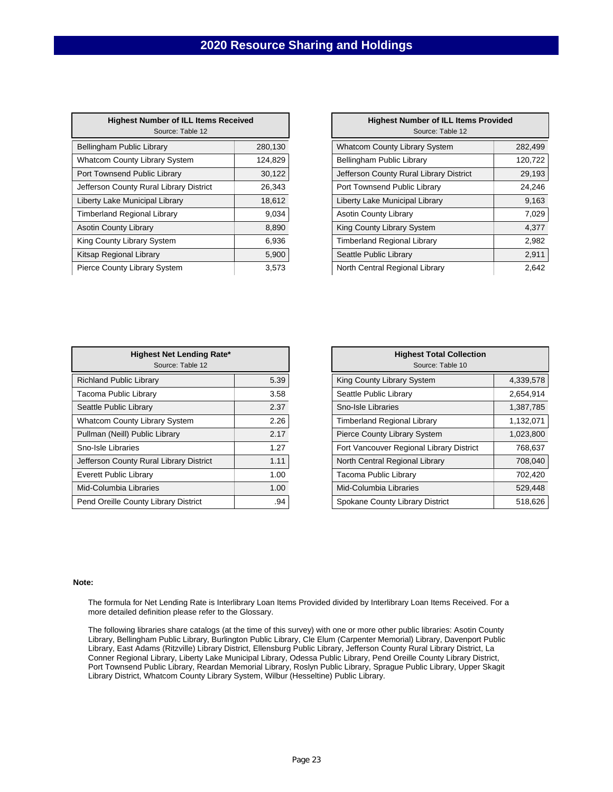| <b>Highest Number of ILL Items Received</b><br>Source: Table 12 |         |  |  |  |
|-----------------------------------------------------------------|---------|--|--|--|
| <b>Bellingham Public Library</b>                                | 280,130 |  |  |  |
| <b>Whatcom County Library System</b>                            | 124,829 |  |  |  |
| Port Townsend Public Library                                    | 30,122  |  |  |  |
| Jefferson County Rural Library District                         | 26,343  |  |  |  |
| Liberty Lake Municipal Library                                  | 18,612  |  |  |  |
| Timberland Regional Library                                     | 9,034   |  |  |  |
| <b>Asotin County Library</b>                                    | 8,890   |  |  |  |
| King County Library System                                      | 6,936   |  |  |  |
| Kitsap Regional Library                                         | 5,900   |  |  |  |
| <b>Pierce County Library System</b>                             | 3,573   |  |  |  |

| <b>Highest Number of ILL Items Received</b><br>Source: Table 12 |         | <b>Highest Number of ILL Items Provided</b><br>Source: Table 12 |         |
|-----------------------------------------------------------------|---------|-----------------------------------------------------------------|---------|
| am Public Library                                               | 280,130 | <b>Whatcom County Library System</b>                            | 282,499 |
| n County Library System                                         | 124,829 | Bellingham Public Library                                       | 120,722 |
| nsend Public Library                                            | 30,122  | Jefferson County Rural Library District                         | 29,193  |
| County Rural Library District                                   | 26,343  | Port Townsend Public Library                                    | 24,246  |
| ake Municipal Library                                           | 18,612  | Liberty Lake Municipal Library                                  | 9,163   |
| nd Regional Library                                             | 9,034   | <b>Asotin County Library</b>                                    | 7,029   |
| ounty Library                                                   | 8,890   | King County Library System                                      | 4,377   |
| unty Library System                                             | 6,936   | <b>Timberland Regional Library</b>                              | 2,982   |
| egional Library                                                 | 5,900   | Seattle Public Library                                          | 2,911   |
| ounty Library System                                            | 3.573   | North Central Regional Library                                  | 2,642   |

| <b>Highest Net Lending Rate*</b><br>Source: Table 12 |      | <b>Highest Total Collection</b><br>Source: Table 10 |
|------------------------------------------------------|------|-----------------------------------------------------|
| <b>Richland Public Library</b>                       | 5.39 | King County Library System                          |
| Tacoma Public Library                                | 3.58 | Seattle Public Library                              |
| Seattle Public Library                               | 2.37 | Sno-Isle Libraries                                  |
| Whatcom County Library System                        | 2.26 | <b>Timberland Regional Library</b>                  |
| Pullman (Neill) Public Library                       | 2.17 | <b>Pierce County Library System</b>                 |
| Sno-Isle Libraries                                   | 1.27 | Fort Vancouver Regional Library District            |
| Jefferson County Rural Library District              | 1.11 | North Central Regional Library                      |
| Everett Public Library                               | 1.00 | Tacoma Public Library                               |
| Mid-Columbia Libraries                               | 1.00 | Mid-Columbia Libraries                              |
| Pend Oreille County Library District                 | .94  | Spokane County Library District                     |

| <b>Highest Total Collection</b><br>Source: Table 10 |           |  |  |  |  |  |
|-----------------------------------------------------|-----------|--|--|--|--|--|
| King County Library System                          | 4,339,578 |  |  |  |  |  |
| Seattle Public Library                              | 2,654,914 |  |  |  |  |  |
| Sno-Isle Libraries                                  | 1,387,785 |  |  |  |  |  |
| Timberland Regional Library                         | 1,132,071 |  |  |  |  |  |
| <b>Pierce County Library System</b>                 | 1,023,800 |  |  |  |  |  |
| Fort Vancouver Regional Library District            | 768,637   |  |  |  |  |  |
| North Central Regional Library                      | 708,040   |  |  |  |  |  |
| Tacoma Public Library                               | 702,420   |  |  |  |  |  |
| Mid-Columbia Libraries                              | 529,448   |  |  |  |  |  |
| Spokane County Library District                     | 518,626   |  |  |  |  |  |

#### **Note:**

The formula for Net Lending Rate is Interlibrary Loan Items Provided divided by Interlibrary Loan Items Received. For a more detailed definition please refer to the Glossary.

The following libraries share catalogs (at the time of this survey) with one or more other public libraries: Asotin County Library, Bellingham Public Library, Burlington Public Library, Cle Elum (Carpenter Memorial) Library, Davenport Public Library, East Adams (Ritzville) Library District, Ellensburg Public Library, Jefferson County Rural Library District, La Conner Regional Library, Liberty Lake Municipal Library, Odessa Public Library, Pend Oreille County Library District, Port Townsend Public Library, Reardan Memorial Library, Roslyn Public Library, Sprague Public Library, Upper Skagit Library District, Whatcom County Library System, Wilbur (Hesseltine) Public Library.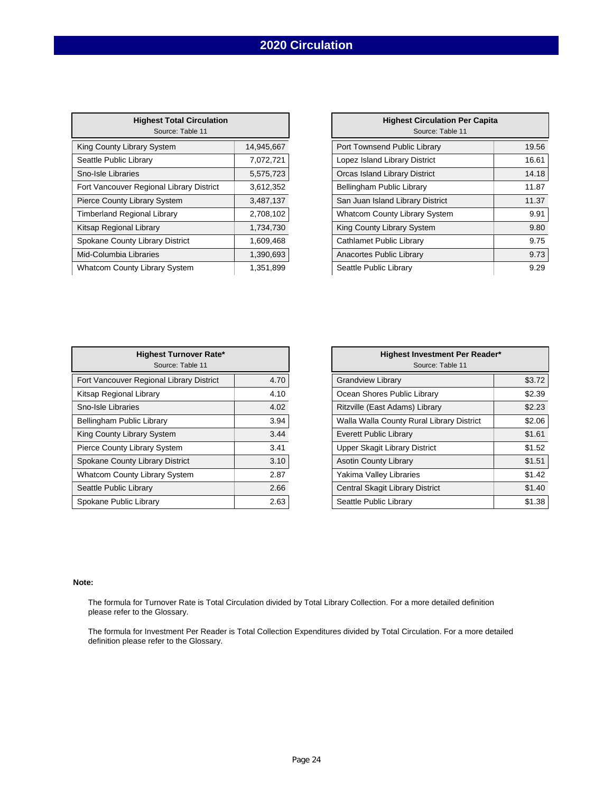## **2020 Circulation**

| <b>Highest Total Circulation</b><br>Source: Table 11 |            |
|------------------------------------------------------|------------|
| King County Library System                           | 14,945,667 |
| Seattle Public Library                               | 7,072,721  |
| Sno-Isle Libraries                                   | 5,575,723  |
| Fort Vancouver Regional Library District             | 3,612,352  |
| <b>Pierce County Library System</b>                  | 3,487,137  |
| <b>Timberland Regional Library</b>                   | 2,708,102  |
| Kitsap Regional Library                              | 1,734,730  |
| Spokane County Library District                      | 1,609,468  |
| Mid-Columbia Libraries                               | 1,390,693  |
| <b>Whatcom County Library System</b>                 | 1.351.899  |

| 14,945,667 | Port Townsend Public Library     | 19.56                                                                                             |
|------------|----------------------------------|---------------------------------------------------------------------------------------------------|
| 7,072,721  | Lopez Island Library District    | 16.61                                                                                             |
| 5,575,723  | Orcas Island Library District    | 14.18                                                                                             |
| 3,612,352  | Bellingham Public Library        | 11.87                                                                                             |
| 3,487,137  | San Juan Island Library District | 11.37                                                                                             |
| 2,708,102  |                                  | 9.91                                                                                              |
| 1,734,730  | King County Library System       | 9.80                                                                                              |
| 1,609,468  | Cathlamet Public Library         | 9.75                                                                                              |
| 1,390,693  | Anacortes Public Library         | 9.73                                                                                              |
| 1,351,899  | Seattle Public Library           | 9.29                                                                                              |
|            |                                  | <b>Highest Circulation Per Capita</b><br>Source: Table 11<br><b>Whatcom County Library System</b> |

| <b>Highest Turnover Rate*</b><br>Source: Table 11 |      | <b>Highest Investment Pe</b><br>Source: Table 11 |
|---------------------------------------------------|------|--------------------------------------------------|
| Fort Vancouver Regional Library District          | 4.70 | <b>Grandview Library</b>                         |
| Kitsap Regional Library                           | 4.10 | Ocean Shores Public Library                      |
| Sno-Isle Libraries                                | 4.02 | Ritzville (East Adams) Library                   |
| Bellingham Public Library                         | 3.94 | Walla Walla County Rural Library Dis             |
| King County Library System                        | 3.44 | <b>Everett Public Library</b>                    |
| Pierce County Library System                      | 3.41 | Upper Skagit Library District                    |
| Spokane County Library District                   | 3.10 | <b>Asotin County Library</b>                     |
| Whatcom County Library System                     | 2.87 | Yakima Valley Libraries                          |
| Seattle Public Library                            | 2.66 | Central Skagit Library District                  |
| Spokane Public Library                            | 2.63 | Seattle Public Library                           |

| <b>Highest Turnover Rate*</b><br>Source: Table 11 |      | Highest Investment Per Reader*<br>Source: Table 11 |        |
|---------------------------------------------------|------|----------------------------------------------------|--------|
| Regional Library District                         | 4.70 | <b>Grandview Library</b>                           | \$3.72 |
| Library                                           | 4.10 | Ocean Shores Public Library                        | \$2.39 |
|                                                   | 4.02 | Ritzville (East Adams) Library                     | \$2.23 |
| c Library                                         | 3.94 | Walla Walla County Rural Library District          | \$2.06 |
| ary System                                        | 3.44 | <b>Everett Public Library</b>                      | \$1.61 |
| brary System                                      | 3.41 | Upper Skagit Library District                      | \$1.52 |
| <b>Library District</b>                           | 3.10 | <b>Asotin County Library</b>                       | \$1.51 |
| / Library System                                  | 2.87 | Yakima Valley Libraries                            | \$1.42 |
| orary                                             | 2.66 | Central Skagit Library District                    | \$1.40 |
| Library                                           | 2.63 | Seattle Public Library                             | \$1.38 |
|                                                   |      |                                                    |        |

#### **Note:**

The formula for Turnover Rate is Total Circulation divided by Total Library Collection. For a more detailed definition please refer to the Glossary.

The formula for Investment Per Reader is Total Collection Expenditures divided by Total Circulation. For a more detailed definition please refer to the Glossary.